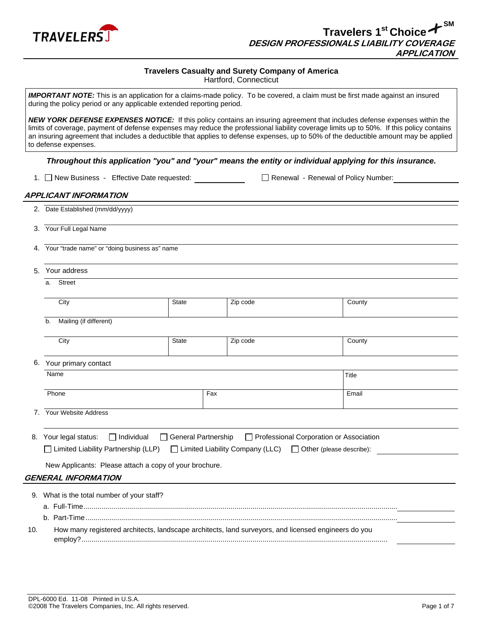

# **Travelers Casualty and Surety Company of America**

Hartford, Connecticut

|    | to defense expenses.                                                                                |                     |          | Throughout this application "you" and "your" means the entity or individual applying for this insurance. |  |
|----|-----------------------------------------------------------------------------------------------------|---------------------|----------|----------------------------------------------------------------------------------------------------------|--|
|    | 1. □ New Business - Effective Date requested:                                                       |                     |          | Renewal - Renewal of Policy Number:                                                                      |  |
|    | <b>APPLICANT INFORMATION</b><br>2. Date Established (mm/dd/yyyy)                                    |                     |          |                                                                                                          |  |
|    | 3. Your Full Legal Name                                                                             |                     |          |                                                                                                          |  |
|    | Your "trade name" or "doing business as" name                                                       |                     |          |                                                                                                          |  |
| 5. | Your address                                                                                        |                     |          |                                                                                                          |  |
|    | Street<br>a.                                                                                        |                     |          |                                                                                                          |  |
|    | City                                                                                                | <b>State</b>        | Zip code | County                                                                                                   |  |
|    | Mailing (if different)<br>b.                                                                        |                     |          |                                                                                                          |  |
|    | City                                                                                                | State               | Zip code | County                                                                                                   |  |
|    | 6. Your primary contact                                                                             |                     |          |                                                                                                          |  |
|    | Name                                                                                                |                     |          | Title                                                                                                    |  |
|    | Phone                                                                                               |                     | Fax      | Email                                                                                                    |  |
|    | 7. Your Website Address                                                                             |                     |          |                                                                                                          |  |
|    | $\Box$ Individual<br>8. Your legal status:                                                          | General Partnership |          | Professional Corporation or Association                                                                  |  |
|    | □ Limited Liability Partnership (LLP) □ Limited Liability Company (LLC)                             |                     |          | $\Box$ Other (please describe):                                                                          |  |
|    | New Applicants: Please attach a copy of your brochure.                                              |                     |          |                                                                                                          |  |
|    | <b>GENERAL INFORMATION</b>                                                                          |                     |          |                                                                                                          |  |
|    | 9. What is the total number of your staff?                                                          |                     |          |                                                                                                          |  |
|    |                                                                                                     |                     |          |                                                                                                          |  |
|    | How many registered architects, landscape architects, land surveyors, and licensed engineers do you |                     |          |                                                                                                          |  |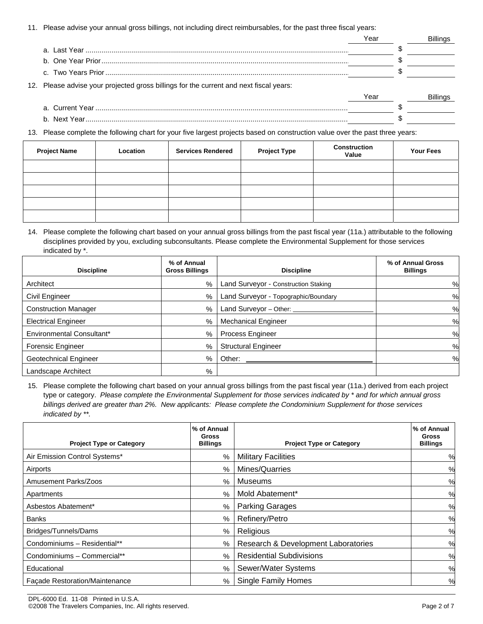11. Please advise your annual gross billings, not including direct reimbursables, for the past three fiscal years:

|                                                                                        | Year |  |
|----------------------------------------------------------------------------------------|------|--|
|                                                                                        |      |  |
|                                                                                        |      |  |
|                                                                                        |      |  |
| 12. Please advise your projected gross billings for the current and next fiscal years: |      |  |
|                                                                                        | Year |  |
|                                                                                        |      |  |
|                                                                                        |      |  |
|                                                                                        |      |  |

13. Please complete the following chart for your five largest projects based on construction value over the past three years:

| <b>Project Name</b> | Location | <b>Services Rendered</b> | <b>Project Type</b> | <b>Construction</b><br>Value | <b>Your Fees</b> |
|---------------------|----------|--------------------------|---------------------|------------------------------|------------------|
|                     |          |                          |                     |                              |                  |
|                     |          |                          |                     |                              |                  |
|                     |          |                          |                     |                              |                  |
|                     |          |                          |                     |                              |                  |
|                     |          |                          |                     |                              |                  |

14. Please complete the following chart based on your annual gross billings from the past fiscal year (11a.) attributable to the following disciplines provided by you, excluding subconsultants. Please complete the Environmental Supplement for those services indicated by \*.

| <b>Discipline</b>           | % of Annual<br><b>Gross Billings</b> | <b>Discipline</b>                    | % of Annual Gross<br><b>Billings</b> |
|-----------------------------|--------------------------------------|--------------------------------------|--------------------------------------|
| Architect                   | $\%$                                 | Land Surveyor - Construction Staking | %                                    |
| Civil Engineer              | %                                    | Land Surveyor - Topographic/Boundary | %                                    |
| <b>Construction Manager</b> | $\%$                                 | Land Surveyor - Other: ____          | %                                    |
| <b>Electrical Engineer</b>  | $\%$                                 | <b>Mechanical Engineer</b>           | %                                    |
| Environmental Consultant*   | $\%$                                 | <b>Process Engineer</b>              | %                                    |
| <b>Forensic Engineer</b>    | $\%$                                 | <b>Structural Engineer</b>           | %                                    |
| Geotechnical Engineer       | $\%$                                 | Other:                               | %                                    |
| Landscape Architect         | %                                    |                                      |                                      |

15. Please complete the following chart based on your annual gross billings from the past fiscal year (11a.) derived from each project type or category. *Please complete the Environmental Supplement for those services indicated by \* and for which annual gross billings derived are greater than 2%. New applicants: Please complete the Condominium Supplement for those services indicated by \*\*.*

| <b>Project Type or Category</b> | % of Annual<br>Gross<br><b>Billings</b> | <b>Project Type or Category</b>     | % of Annual<br>Gross<br><b>Billings</b> |
|---------------------------------|-----------------------------------------|-------------------------------------|-----------------------------------------|
| Air Emission Control Systems*   | %                                       | <b>Military Facilities</b>          | $\%$                                    |
| Airports                        | $\%$                                    | Mines/Quarries                      | $\%$                                    |
| Amusement Parks/Zoos            | $\%$                                    | Museums                             | %                                       |
| Apartments                      | $\%$                                    | Mold Abatement*                     | $\%$                                    |
| Asbestos Abatement*             | $\%$                                    | <b>Parking Garages</b>              | %                                       |
| <b>Banks</b>                    | $\%$                                    | Refinery/Petro                      | $\%$                                    |
| Bridges/Tunnels/Dams            | $\%$                                    | Religious                           | $\%$                                    |
| Condominiums - Residential**    | $\%$                                    | Research & Development Laboratories | $\%$                                    |
| Condominiums - Commercial**     | $\%$                                    | <b>Residential Subdivisions</b>     | %                                       |
| Educational                     | $\%$                                    | Sewer/Water Systems                 | $\%$                                    |
| Façade Restoration/Maintenance  | %                                       | <b>Single Family Homes</b>          | %                                       |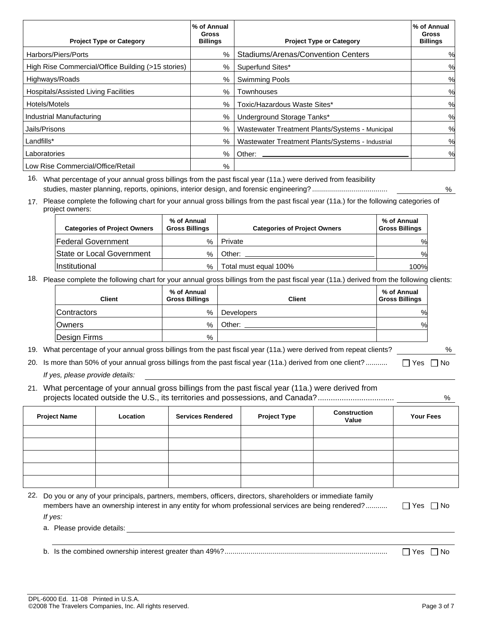| <b>Project Type or Category</b>                    | % of Annual<br><b>Gross</b><br><b>Billings</b> | <b>Project Type or Category</b>                  | % of Annual<br>Gross<br><b>Billings</b> |
|----------------------------------------------------|------------------------------------------------|--------------------------------------------------|-----------------------------------------|
| Harbors/Piers/Ports                                | $\frac{0}{0}$                                  | Stadiums/Arenas/Convention Centers               | %                                       |
| High Rise Commercial/Office Building (>15 stories) | %                                              | Superfund Sites*                                 | %                                       |
| Highways/Roads                                     | %                                              | <b>Swimming Pools</b>                            | %                                       |
| Hospitals/Assisted Living Facilities               | $\%$                                           | Townhouses                                       | %                                       |
| Hotels/Motels                                      | $\%$                                           | Toxic/Hazardous Waste Sites*                     | %                                       |
| Industrial Manufacturing                           | %                                              | Underground Storage Tanks*                       | %                                       |
| Jails/Prisons                                      | %                                              | Wastewater Treatment Plants/Systems - Municipal  | $\%$                                    |
| Landfills*                                         | %                                              | Wastewater Treatment Plants/Systems - Industrial | %                                       |
| Laboratories                                       | $\%$                                           | Other:                                           | %                                       |
| Low Rise Commercial/Office/Retail                  | %                                              |                                                  |                                         |

16. What percentage of your annual gross billings from the past fiscal year (11a.) were derived from feasibility studies, master planning, reports, opinions, interior design, and forensic engineering? ...................................... %

17. Please complete the following chart for your annual gross billings from the past fiscal year (11a.) for the following categories of project owners:

| <b>Categories of Project Owners</b> | % of Annual<br><b>Gross Billings</b> | <b>Categories of Project Owners</b> | % of Annual<br><b>Gross Billings</b> |
|-------------------------------------|--------------------------------------|-------------------------------------|--------------------------------------|
| <b>Federal Government</b>           | %                                    | Private                             | %                                    |
| State or Local Government           | $\frac{0}{0}$                        | Other:                              | %                                    |
| Institutional                       | $\%$                                 | Total must equal 100%               | 100%                                 |

18. Please complete the following chart for your annual gross billings from the past fiscal year (11a.) derived from the following clients:

| Client       | % of Annual<br><b>Gross Billings</b> | <b>Client</b>     | % of Annual<br><b>Gross Billings</b> |
|--------------|--------------------------------------|-------------------|--------------------------------------|
| Contractors  | $\%$                                 | <b>Developers</b> | %                                    |
| Owners       | %                                    | Other:            | $\frac{0}{0}$                        |
| Design Firms | %                                    |                   |                                      |

19. What percentage of your annual gross billings from the past fiscal year (11a.) were derived from repeat clients? %

20. Is more than 50% of your annual gross billings from the past fiscal year (11a.) derived from one client? ...........  $\Box$  Yes  $\Box$  No *If yes, please provide details:* 

21. What percentage of your annual gross billings from the past fiscal year (11a.) were derived from projects located outside the U.S., its territories and possessions, and Canada?................................... %

| <b>Project Name</b> | Location | <b>Services Rendered</b> | <b>Project Type</b> | <b>Construction</b><br>Value | <b>Your Fees</b> |
|---------------------|----------|--------------------------|---------------------|------------------------------|------------------|
|                     |          |                          |                     |                              |                  |
|                     |          |                          |                     |                              |                  |
|                     |          |                          |                     |                              |                  |
|                     |          |                          |                     |                              |                  |
|                     |          |                          |                     |                              |                  |

| 22. Do you or any of your principals, partners, members, officers, directors, shareholders or immediate family |                      |
|----------------------------------------------------------------------------------------------------------------|----------------------|
| members have an ownership interest in any entity for whom professional services are being rendered?            | $\Box$ Yes $\Box$ No |
| If yes:                                                                                                        |                      |
| a. Please provide details:                                                                                     |                      |

b. Is the combined ownership interest greater than 49%?.................................................................................. Yes No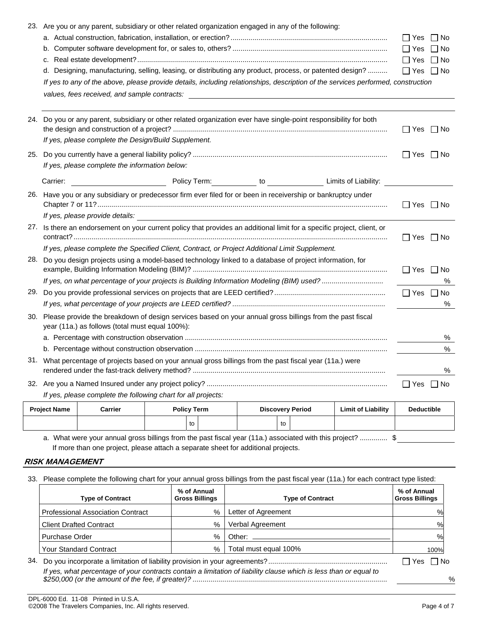|     | 23. Are you or any parent, subsidiary or other related organization engaged in any of the following:                                                            |                         |
|-----|-----------------------------------------------------------------------------------------------------------------------------------------------------------------|-------------------------|
|     |                                                                                                                                                                 | $\Box$ Yes<br>∣ ∣No     |
|     |                                                                                                                                                                 | $\Box$ Yes $\Box$ No    |
|     |                                                                                                                                                                 | $\Box$ Yes $\Box$ No    |
|     | d. Designing, manufacturing, selling, leasing, or distributing any product, process, or patented design?                                                        | $\Box$ Yes $\Box$ No    |
|     | If yes to any of the above, please provide details, including relationships, description of the services performed, construction                                |                         |
|     |                                                                                                                                                                 |                         |
|     |                                                                                                                                                                 |                         |
|     | 24. Do you or any parent, subsidiary or other related organization ever have single-point responsibility for both                                               | $\Box$ Yes $\Box$ No    |
|     | If yes, please complete the Design/Build Supplement.                                                                                                            |                         |
| 25. |                                                                                                                                                                 | $\Box$ Yes $\Box$ No    |
|     | If yes, please complete the information below:                                                                                                                  |                         |
|     | <b>Policy Term:</b> The Contract of Limits of Liability:<br>Carrier:                                                                                            |                         |
|     | 26. Have you or any subsidiary or predecessor firm ever filed for or been in receivership or bankruptcy under                                                   | ∣Yes   ∣No              |
|     | If yes, please provide details:                                                                                                                                 |                         |
|     | 27. Is there an endorsement on your current policy that provides an additional limit for a specific project, client, or                                         | l lYes<br>  No          |
|     | If yes, please complete the Specified Client, Contract, or Project Additional Limit Supplement.                                                                 |                         |
|     | 28. Do you design projects using a model-based technology linked to a database of project information, for                                                      | $\Box$ Yes<br>$\Box$ No |
|     | If yes, on what percentage of your projects is Building Information Modeling (BIM) used?                                                                        | ℅                       |
|     |                                                                                                                                                                 |                         |
|     |                                                                                                                                                                 | %                       |
|     | 30. Please provide the breakdown of design services based on your annual gross billings from the past fiscal<br>year (11a.) as follows (total must equal 100%): |                         |
|     |                                                                                                                                                                 | %                       |
|     |                                                                                                                                                                 | $\%$                    |
|     | 31. What percentage of projects based on your annual gross billings from the past fiscal year (11a.) were                                                       | ℅                       |
|     |                                                                                                                                                                 | Yes   ∣No               |
|     | If yes, please complete the following chart for all projects:                                                                                                   |                         |
|     |                                                                                                                                                                 |                         |

| <b>Project Name</b> | Carrier | <b>Policy Term</b> |  | <b>Discovery Period</b> |    | <b>Limit of Liability</b> | <b>Deductible</b> |  |
|---------------------|---------|--------------------|--|-------------------------|----|---------------------------|-------------------|--|
|                     |         | to                 |  |                         | to |                           |                   |  |

a. What were your annual gross billings from the past fiscal year (11a.) associated with this project? .............. \$ If more than one project, please attach a separate sheet for additional projects.

#### **RISK MANAGEMENT**

33. Please complete the following chart for your annual gross billings from the past fiscal year (11a.) for each contract type listed:

| <b>Type of Contract</b>                  | % of Annual<br><b>Gross Billings</b> | <b>Type of Contract</b>                                                                                           | % of Annual<br><b>Gross Billings</b> |
|------------------------------------------|--------------------------------------|-------------------------------------------------------------------------------------------------------------------|--------------------------------------|
| <b>Professional Association Contract</b> | %                                    | Letter of Agreement                                                                                               | $\%$                                 |
| <b>Client Drafted Contract</b>           | $\%$                                 | Verbal Agreement                                                                                                  | %                                    |
| Purchase Order                           | $\%$                                 | Other: $\_\_$                                                                                                     | %                                    |
| <b>Your Standard Contract</b>            | %                                    | Total must equal 100%                                                                                             | 100%                                 |
| 34.                                      |                                      |                                                                                                                   | l IYes<br>l INo                      |
|                                          |                                      | If yes, what percentage of your contracts contain a limitation of liability clause which is less than or equal to |                                      |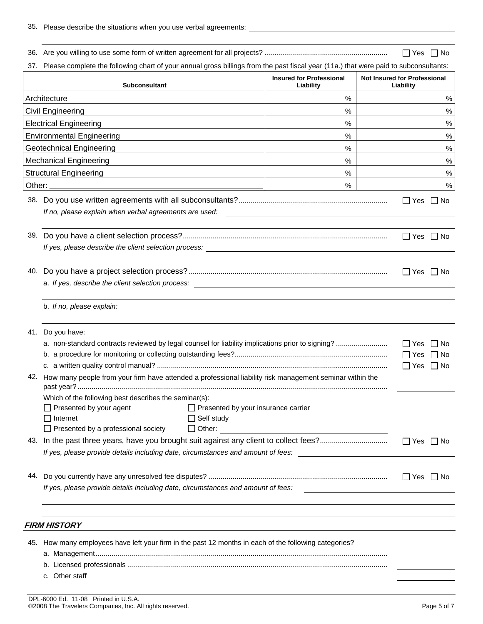|                                                                                                                                                                                                                                                                               |                                               |                                     | IIYes     | l INo |  |  |
|-------------------------------------------------------------------------------------------------------------------------------------------------------------------------------------------------------------------------------------------------------------------------------|-----------------------------------------------|-------------------------------------|-----------|-------|--|--|
| 37. Please complete the following chart of your annual gross billings from the past fiscal year (11a.) that were paid to subconsultants:                                                                                                                                      |                                               |                                     |           |       |  |  |
| <b>Subconsultant</b>                                                                                                                                                                                                                                                          | <b>Insured for Professional</b><br>Liability  | <b>Not Insured for Professional</b> | Liability |       |  |  |
| Architecture                                                                                                                                                                                                                                                                  | %                                             |                                     |           | $\%$  |  |  |
| Civil Engineering<br>%                                                                                                                                                                                                                                                        |                                               |                                     |           | $\%$  |  |  |
| <b>Electrical Engineering</b><br>%                                                                                                                                                                                                                                            |                                               |                                     |           |       |  |  |
| <b>Environmental Engineering</b><br>%                                                                                                                                                                                                                                         |                                               |                                     |           |       |  |  |
| <b>Geotechnical Engineering</b><br>%                                                                                                                                                                                                                                          |                                               |                                     |           |       |  |  |
| <b>Mechanical Engineering</b><br>%                                                                                                                                                                                                                                            |                                               |                                     |           | $\%$  |  |  |
| <b>Structural Engineering</b><br>$\%$<br><u>and the contract of the contract of the contract of the contract of the contract of the contract of the contract of the contract of the contract of the contract of the contract of the contract of the contract of the contr</u> |                                               |                                     |           | $\%$  |  |  |
|                                                                                                                                                                                                                                                                               | %                                             |                                     |           | $\%$  |  |  |
| If no, please explain when verbal agreements are used:                                                                                                                                                                                                                        | <u> 1980 - Andrea Andrew Maria (h. 1980).</u> |                                     | l IYes    | l INo |  |  |
| If yes, please describe the client selection process: National Community of the control of the client selection                                                                                                                                                               |                                               |                                     |           |       |  |  |
|                                                                                                                                                                                                                                                                               |                                               |                                     |           |       |  |  |
| b. If no, please explain:<br><u> 1989 - John Stone, amerikansk politiker (* 1989)</u><br>41. Do you have:                                                                                                                                                                     |                                               |                                     |           |       |  |  |
|                                                                                                                                                                                                                                                                               |                                               |                                     |           |       |  |  |
| 42. How many people from your firm have attended a professional liability risk management seminar within the                                                                                                                                                                  |                                               |                                     |           |       |  |  |
| Which of the following best describes the seminar(s):<br>Presented by your agent<br>$\Box$ Presented by your insurance carrier<br>$\Box$ Self study<br>$\Box$ Internet<br>$\Box$ Presented by a professional society<br>$\Box$ Other:                                         |                                               |                                     |           |       |  |  |
| If yes, please provide details including date, circumstances and amount of fees:                                                                                                                                                                                              |                                               |                                     |           |       |  |  |
| If yes, please provide details including date, circumstances and amount of fees:                                                                                                                                                                                              |                                               |                                     |           |       |  |  |
| <b>FIRM HISTORY</b>                                                                                                                                                                                                                                                           |                                               |                                     |           |       |  |  |
| 45. How many employees have left your firm in the past 12 months in each of the following categories?<br>c. Other staff                                                                                                                                                       |                                               |                                     |           |       |  |  |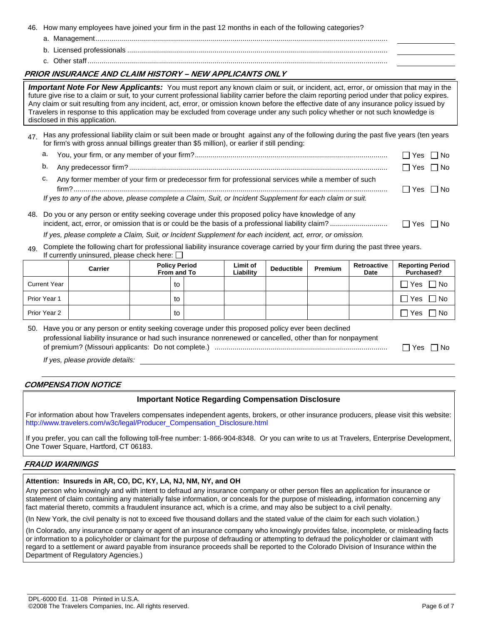46. How many employees have joined your firm in the past 12 months in each of the following categories?

- a. Management...................................................................................................................................................
- b. Licensed professionals ...................................................................................................................................
- c. Other staff.......................................................................................................................................................

## **PRIOR INSURANCE AND CLAIM HISTORY – NEW APPLICANTS ONLY**

*Important Note For New Applicants:* You must report any known claim or suit, or incident, act, error, or omission that may in the future give rise to a claim or suit, to your current professional liability carrier before the claim reporting period under that policy expires. Any claim or suit resulting from any incident, act, error, or omission known before the effective date of any insurance policy issued by Travelers in response to this application may be excluded from coverage under any such policy whether or not such knowledge is disclosed in this application.

- 47 Has any professional liability claim or suit been made or brought against any of the following during the past five years (ten years for firm's with gross annual billings greater than \$5 million), or earlier if still pending:
	- a. You, your firm, or any member of your firm?................................................................................................. Yes No
	- b. Any predecessor firm? .................................................................................................................................. Yes No
	- c. Any former member of your firm or predecessor firm for professional services while a member of such firm?.............................................................................................................................................................. Yes No

*If yes to any of the above, please complete a Claim, Suit, or Incident Supplement for each claim or suit.* 

48. Do you or any person or entity seeking coverage under this proposed policy have knowledge of any incident, act, error, or omission that is or could be the basis of a professional liability claim? ............................. Yes No

*If yes, please complete a Claim, Suit, or Incident Supplement for each incident, act, error, or omission.* 

49. Complete the following chart for professional liability insurance coverage carried by your firm during the past three years. If currently uninsured, please check here:  $\Box$ 

|                     | Carrier | <b>Policy Period</b><br>From and To |  | Limit of<br>Liability | <b>Deductible</b> | <b>Premium</b> | Retroactive<br>Date | <b>Reporting Period</b><br>Purchased? |
|---------------------|---------|-------------------------------------|--|-----------------------|-------------------|----------------|---------------------|---------------------------------------|
| <b>Current Year</b> |         | to                                  |  |                       |                   |                |                     | $\sqcap$ No<br>⊓ Yes                  |
| Prior Year 1        |         | to                                  |  |                       |                   |                |                     | $\sqcap$ No<br>] Yes                  |
| Prior Year 2        |         | to                                  |  |                       |                   |                |                     | ∩ No<br>7 Yes                         |

50. Have you or any person or entity seeking coverage under this proposed policy ever been declined professional liability insurance or had such insurance nonrenewed or cancelled, other than for nonpayment of premium? (Missouri applicants: Do not complete.) ....................................................................................... Yes No

*If yes, please provide details:* 

## **COMPENSATION NOTICE**

## **Important Notice Regarding Compensation Disclosure**

For information about how Travelers compensates independent agents, brokers, or other insurance producers, please visit this website: [http://www.travelers.com/w3c/legal/Producer\\_Compensation\\_Disclosure.html](http://www.travelers.com/w3c/legal/Producer_Compensation_Disclosure.html)

If you prefer, you can call the following toll-free number: 1-866-904-8348. Or you can write to us at Travelers, Enterprise Development, One Tower Square, Hartford, CT 06183.

## **FRAUD WARNINGS**

## **Attention: Insureds in AR, CO, DC, KY, LA, NJ, NM, NY, and OH**

Any person who knowingly and with intent to defraud any insurance company or other person files an application for insurance or statement of claim containing any materially false information, or conceals for the purpose of misleading, information concerning any fact material thereto, commits a fraudulent insurance act, which is a crime, and may also be subject to a civil penalty.

(In New York, the civil penalty is not to exceed five thousand dollars and the stated value of the claim for each such violation.)

(In Colorado, any insurance company or agent of an insurance company who knowingly provides false, incomplete, or misleading facts or information to a policyholder or claimant for the purpose of defrauding or attempting to defraud the policyholder or claimant with regard to a settlement or award payable from insurance proceeds shall be reported to the Colorado Division of Insurance within the Department of Regulatory Agencies.)